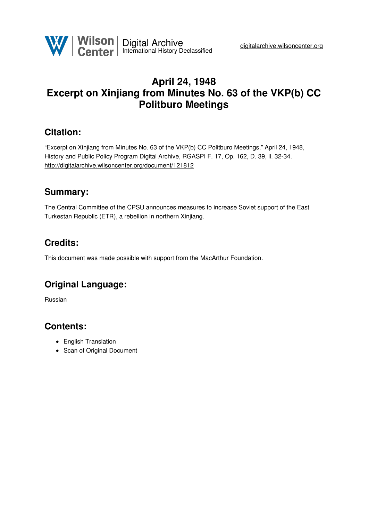

## **April 24, 1948 Excerpt on Xinjiang from Minutes No. 63 of the VKP(b) CC Politburo Meetings**

### **Citation:**

"Excerpt on Xinjiang from Minutes No. 63 of the VKP(b) CC Politburo Meetings," April 24, 1948, History and Public Policy Program Digital Archive, RGASPI F. 17, Op. 162, D. 39, ll. 32-34. <http://digitalarchive.wilsoncenter.org/document/121812>

## **Summary:**

The Central Committee of the CPSU announces measures to increase Soviet support of the East Turkestan Republic (ETR), a rebellion in northern Xinjiang.

### **Credits:**

This document was made possible with support from the MacArthur Foundation.

# **Original Language:**

Russian

### **Contents:**

- English Translation
- Scan of Original Document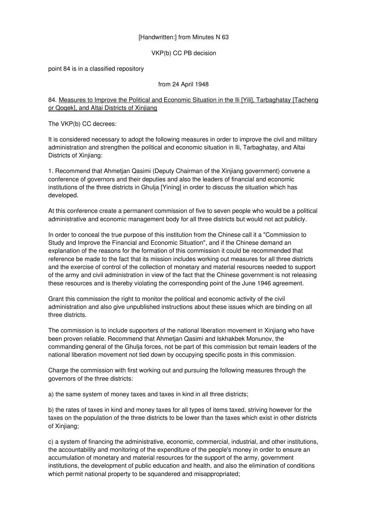#### [Handwritten:] from Minutes N 63

VKP(b) CC PB decision

point 84 is in a classified repository

#### from 24 April 1948

#### 84. Measures to Improve the Political and Economic Situation in the Ili [Yili], Tarbaghatay [Tacheng or Qoqek], and Altai Districts of Xinjiang

The VKP(b) CC decrees:

It is considered necessary to adopt the following measures in order to improve the civil and military administration and strengthen the political and economic situation in Ili, Tarbaghatay, and Altai Districts of Xinjiang:

1. Recommend that Ahmetjan Qasimi (Deputy Chairman of the Xinjiang government) convene a conference of governors and their deputies and also the leaders of financial and economic institutions of the three districts in Ghulja [Yining] in order to discuss the situation which has developed.

At this conference create a permanent commission of five to seven people who would be a political administrative and economic management body for all three districts but would not act publicly.

In order to conceal the true purpose of this institution from the Chinese call it a "Commission to Study and Improve the Financial and Economic Situation", and if the Chinese demand an explanation of the reasons for the formation of this commission it could be recommended that reference be made to the fact that its mission includes working out measures for all three districts and the exercise of control of the collection of monetary and material resources needed to support of the army and civil administration in view of the fact that the Chinese government is not releasing these resources and is thereby violating the corresponding point of the June 1946 agreement.

Grant this commission the right to monitor the political and economic activity of the civil administration and also give unpublished instructions about these issues which are binding on all three districts.

The commission is to include supporters of the national liberation movement in Xinjiang who have been proven reliable. Recommend that Ahmetjan Qasimi and Iskhakbek Monunov, the commanding general of the Ghulja forces, not be part of this commission but remain leaders of the national liberation movement not tied down by occupying specific posts in this commission.

Charge the commission with first working out and pursuing the following measures through the governors of the three districts:

a) the same system of money taxes and taxes in kind in all three districts;

b) the rates of taxes in kind and money taxes for all types of items taxed, striving however for the taxes on the population of the three districts to be lower than the taxes which exist in other districts of Xinjiang;

c) a system of financing the administrative, economic, commercial, industrial, and other institutions, the accountability and monitoring of the expenditure of the people's money in order to ensure an accumulation of monetary and material resources for the support of the army, government institutions, the development of public education and health, and also the elimination of conditions which permit national property to be squandered and misappropriated;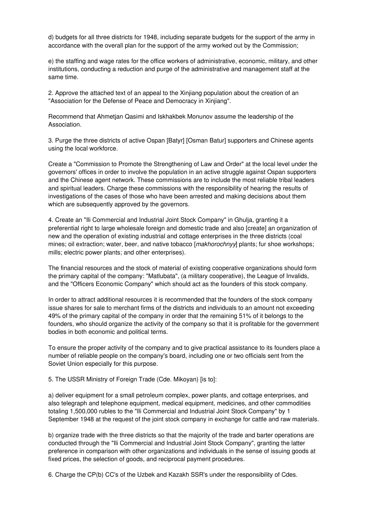d) budgets for all three districts for 1948, including separate budgets for the support of the army in accordance with the overall plan for the support of the army worked out by the Commission;

e) the staffing and wage rates for the office workers of administrative, economic, military, and other institutions, conducting a reduction and purge of the administrative and management staff at the same time.

2. Approve the attached text of an appeal to the Xinjiang population about the creation of an "Association for the Defense of Peace and Democracy in Xinjiang".

Recommend that Ahmetjan Qasimi and Iskhakbek Monunov assume the leadership of the Association.

3. Purge the three districts of active Ospan [Batyr] [Osman Batur] supporters and Chinese agents using the local workforce.

Create a "Commission to Promote the Strengthening of Law and Order" at the local level under the governors' offices in order to involve the population in an active struggle against Ospan supporters and the Chinese agent network. These commissions are to include the most reliable tribal leaders and spiritual leaders. Charge these commissions with the responsibility of hearing the results of investigations of the cases of those who have been arrested and making decisions about them which are subsequently approved by the governors.

4. Create an "Ili Commercial and Industrial Joint Stock Company" in Ghulja, granting it a preferential right to large wholesale foreign and domestic trade and also [create] an organization of new and the operation of existing industrial and cottage enterprises in the three districts (coal mines; oil extraction; water, beer, and native tobacco [*makhorochnyy*] plants; fur shoe workshops; mills; electric power plants; and other enterprises).

The financial resources and the stock of material of existing cooperative organizations should form the primary capital of the company: "Matlubata", (a military cooperative), the League of Invalids, and the "Officers Economic Company" which should act as the founders of this stock company.

In order to attract additional resources it is recommended that the founders of the stock company issue shares for sale to merchant firms of the districts and individuals to an amount not exceeding 49% of the primary capital of the company in order that the remaining 51% of it belongs to the founders, who should organize the activity of the company so that it is profitable for the government bodies in both economic and political terms.

To ensure the proper activity of the company and to give practical assistance to its founders place a number of reliable people on the company's board, including one or two officials sent from the Soviet Union especially for this purpose.

5. The USSR Ministry of Foreign Trade (Cde. Mikoyan) [is to]:

a) deliver equipment for a small petroleum complex, power plants, and cottage enterprises, and also telegraph and telephone equipment, medical equipment, medicines, and other commodities totaling 1,500,000 rubles to the "Ili Commercial and Industrial Joint Stock Company" by 1 September 1948 at the request of the joint stock company in exchange for cattle and raw materials.

b) organize trade with the three districts so that the majority of the trade and barter operations are conducted through the "Ili Commercial and Industrial Joint Stock Company", granting the latter preference in comparison with other organizations and individuals in the sense of issuing goods at fixed prices, the selection of goods, and reciprocal payment procedures.

6. Charge the CP(b) CC's of the Uzbek and Kazakh SSR's under the responsibility of Cdes.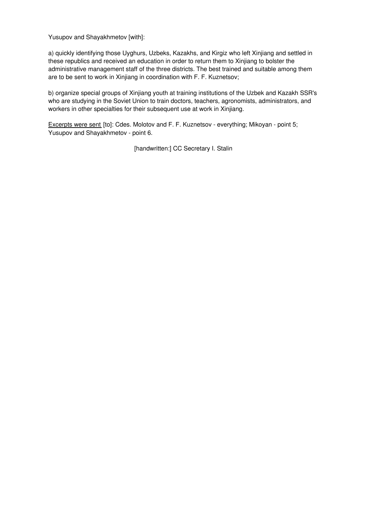Yusupov and Shayakhmetov [with]:

a) quickly identifying those Uyghurs, Uzbeks, Kazakhs, and Kirgiz who left Xinjiang and settled in these republics and received an education in order to return them to Xinjiang to bolster the administrative management staff of the three districts. The best trained and suitable among them are to be sent to work in Xinjiang in coordination with F. F. Kuznetsov;

b) organize special groups of Xinjiang youth at training institutions of the Uzbek and Kazakh SSR's who are studying in the Soviet Union to train doctors, teachers, agronomists, administrators, and workers in other specialties for their subsequent use at work in Xinjiang.

Excerpts were sent [to]: Cdes. Molotov and F. F. Kuznetsov - everything; Mikoyan - point 5; Yusupov and Shayakhmetov - point 6.

[handwritten:] CC Secretary I. Stalin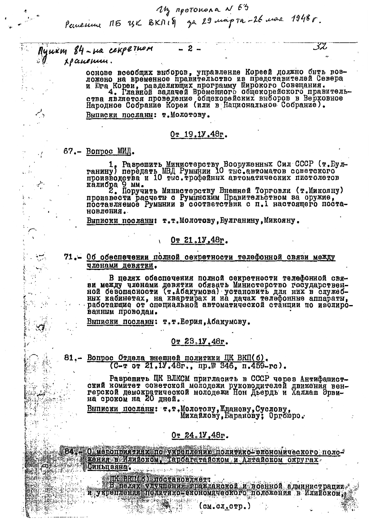My mpotokona N 63<br>Pemerime N5 UK BKNIS za 29 majora-26 mare 1948r.

 $2^{\circ}$ 

Пушкт 84-на секретном *xpaneum.* 

> основе всеобщих выборов, управление Кореей должно быть воз-ложено на временное правительство из представителей Севера и Юга Кореи, разделяющих программу Широкого Совещания.<br>1. Представительство совещания. Представительства является проведение общекорейских выборов в Верховное Выписки посланы: т. Молотову.

32

#### $0r 19.19.48r.$

 $67 - B$ onpoc MM $\mu$ .

۰.

1. Разрешить Министерству Вооруженных Сил СССР (т. Еул-<br>ганину) передать МВД Румынии 10 тыс. автоматов советского<br>производства и 10 тыс. грофейных автоматических пистолетов калибра 9 мм.

произвести расчеты с Румынским Правительством за оружие, произвести расчеты с Румынским Правительством за оружие, новления.

Выписки посланн: т.т. Молотову, Булганину, Микояну.

Or 21.1V.48r.

71.- Об обеспечении полной секретности телефонной связи между членами девятки.

В целях обеспечения полной секретности телефонной свяной безопасности (т. Абакумова) установить для них в служеб-<br>ной безопасности (т. Абакумова) установить для них в служеб-<br>ных кабинетах, на квартирах и на дачах телефонные аппараты,<br>работающие от специальной автоматической ванным проводам.

Выписки посланы: т.т.Берия,Абакумову.

#### $0r$  23.1y.48r.

81.- Вопрос Отдела внешней политики ЦК ВКП(б).  $(C - T)$  or 21, 1V, 48r., np. \$346, n. 459-rc).

Разрешить ЦК ВЛКСМ пригласить в СССР через Антифашистский комитет советской молодежи руководителей движения вен-герской демократической молодежи Нон Дьердь и Халлаш Эрви-на сроком на 20 дней.

Выписки посланы: т.т.Молотову, Жданову, Суслову,<br>Михайлову, Баранову; Оргбюро.

### Or  $24.1$ ,  $48$ r.

84. О мероприятиях по укреплению политико-экономического положения в Илийском. Тарбататайском и Алтайском округах

编编医控制副码 传输单元的

<u>Синьцвяна.</u>

и ВЕП (о) постановляет:<br>"В неляк улушения пражданокой и поенной администрации"<br>"Унрешления долитико-ехономического положения в Илийском;

(см. сл. стр.)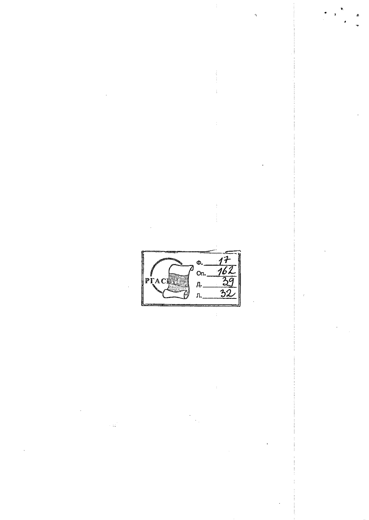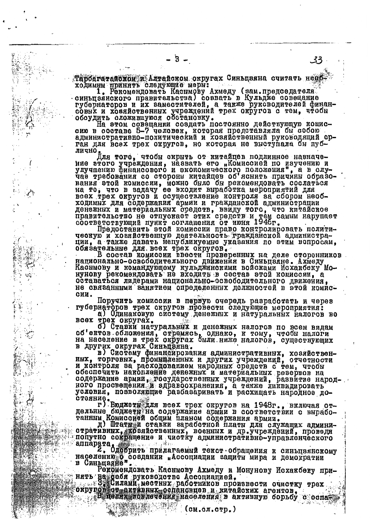Тарбагатайском и Алтайском округах Синьцзяна считать необ ходимны принять следующие мерн:

1. Рекомендовать Каснмову Ахмеду (зам.председателя синьцзянского правительства) созвать в Кульдже совещание губернаторов и их заместителей, а также руководителей финансовых и ховяйственных учреждений трех округов с тем, чтобы обсудить сложившуюся обстановку.

на этом совещании создать постоянно действующую комисадминистративно-политический и хозяйственный руководящий орган для всех трех округов, но которая не выступала бы публично

Цля того, чтобы скрыть от китайцев подлинное назначение этого учреждения, назвать его "Комиссией по изучению и улучшению финансового и экономического положения", а в слу-<br>чае требования со стороны китайцев об'яснить причины образо-<br>нания этой комиссии, можно было бы рекоме ходимых для содержания армии и гражданской администрации денежных и материальных средств, ввиду того, что китайское правительство не отпускает этих средств и тем самым нарушает<br>соответствующий пункт соглашения от июня 1946г.

Предоставить этой комиссии право контролировать полити-<br>ческую и хозяйственную деятельность тражданской администра-<br>ции, а также давать непубликуемне указания по этим вопросам,<br>обязательные для всех трех округов.<br>В состав

национально-освободительного движения в Синьцзяне. Ахмеду Каснмову и командующему кульджинскими войсками Исхакбеку Мооставаться лидерами национально-освободительного движения, не связанными занятием определенных должностей в этой комиссии.

Поручить комиссии в первую очередь разработать и через губернаторов трех округов провести следующие мероприятия:

а) Одинаковую систему денежных и натуральных налогов во трех округах.

б) Ставки натуральных и денежных налогов по всем видам об'ектов обложения, стремясь, однако, к тому, чтобы налоги<br>на население в трех округах были ниже налогов, существующих

в других округах Синьценна.<br>В Других округах Синьценна.<br>В Систему финансирования административных, хозяйствен-<br>ных, торговых, промышленных и других учреждений, отчетности<br>и контроля за расходованием народных средств с тем содержание армии, тосударственных учреждений, развитие народ-ного просвещения, и здравоохранения, а также ликвидировать<br>условия, позволяющие разбазаривать и расхищать народное до-

стояние.<br>- г) Вюджети для всех трех округов на 1948г., включая оттанним Комиссией общим планом содержания армии.

д) Штатный ставки заработной платы для служащих админиотративных, козяйственных, военных и др.учреждений, проведя<br>Попутно соиращение и чистку административно-управленческого

или прата, совдания и синьцения и синьцения и синьцения и синьцения и синьцения и синьцения и демократии на совдания в демократии на совдания и демократии в Синьцаяне"

Рекомендовать Каснмову Ахмеду и Монунову Исхакбеку при-

нять на себя руководство Ассоциацией. При очистку трех «В целях вовлечения населения в активную борьбу с оспа-

(см.сл.стр.)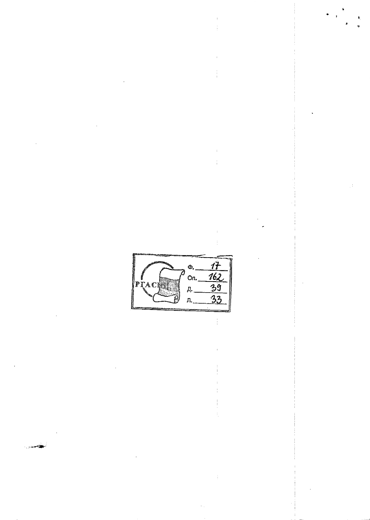$\frac{17}{162}$ <br> $\frac{162}{33}$ Ф.  $On.$ л.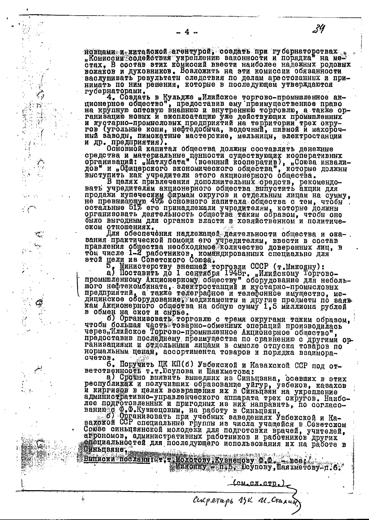новцами и китайской агентурой, создать при губернаторствах.<br>"Комиссии содействия укреплению законности и порядка" на ме-<br>стах, В состав этих комиссий ввести наиболее надежных родовых<br>вожаков и духовников. Возложить на эти васлушивать результаты следствия по делам арестованных и принимать по ним решения, которые в последующем утверждаются губернаторами.

гуоернаторами.<br>4. Создать в Кульдже "Илийское торгово-промншленное ак-<br>пионерное общество", предоставив ему преимущественное право<br>на крупную оптовую внешнюю и внутренною торговлю, а также ор-<br>ганизацию новых и эксплоатац ный заводи, пимокатние мастерские, мельници, электростанции<br>и др. предприятия). Основной капитал общества должны составлять денежние

средства и материальние ценности существующих кооперативных организаций: "Матлубата" (военный кооператив), "Союза инвали-дов" и "Офицерского экономического общества", которые должны выступить как учредители этого акционерн

В целях привлечения дополнительных средств, рекомендонель иривлечения дополнительных оредить, реалистрии для продажи купеческим фирмам округов и отдельным лицам на сумму, не превышающую 49% основного капитала общества с тем, чтобы и отдельным лицам на сумму, не превышающую 4 ском отношениях.

 $\cdot$  (

Для обеспечения надлежащей деятельности общества и оказания практической помощи его учредителям, ввести в составивания общества необходимо количество доверенных лиц, в том числе 1-2 работников, командированных специально для этой дели маши в помощи с поставится с составится с

этом цели из советского союзы.<br>5. Министерству внешней торговли СССР (т. Микояну):<br>a) Поставить до 1 сентября 1948г. "Илийскому Торгово-<br>промышленному Акционерному обществу" оборудование для неболь-<br>moго нефтекомбината, э обмен на скот и снрве. в

но Организовать торговлю с тремя округами таким образом, пробы большая часть торарно-обменных операций производилась чтобы большая часть торарно-обменных операций производилась через, Илийское Торгово-промышленное Акционер счетов.

6. Поручить ЦК КП(б) Узбекской и Казахской ССР под от-

ноственность т.т. Моупова и Шаяхметова:<br>Ветственность т.т. Моупова и Шаяхметова:<br>В. Сройно внявить вышедших из Синьцзяна, осевших в этих<br>республиках и получивших образование уйгур, узбеков, казахов<br>и киргизов в целях возвр и критеративно-управленческого аппарата трех округов. Наибо-<br>лее подготовленных и пригодных из них направить, по согласо-<br>ванию с Ф.Ф.Кузнецовим, на работу в Синьцеян.<br>ванию с Ф.Ф.Кузнецовим, на работу в Синьцеян.<br>захокой

Союзе синьцаннокой молодежи для подготовки врачей, учителей, атрономов, административных работников и работников других Оиньцвяне,

Выписки посланні: т. т. Молотову Кувнепову Ф.Ф. - всеі.<br>Минолну — п.Б. Юсупову, Шаяхметову-п.б.

CONOCHOTED.)

34